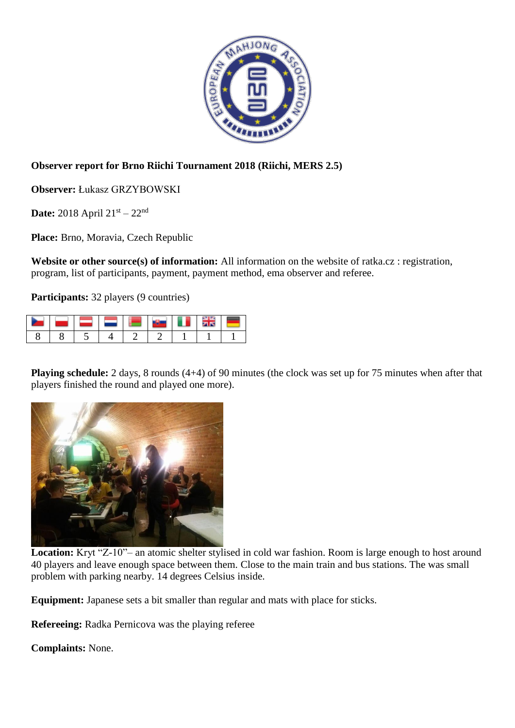

## **Observer report for Brno Riichi Tournament 2018 (Riichi, MERS 2.5)**

**Observer:** Łukasz GRZYBOWSKI

**Date:** 2018 April  $21^{st} - 22^{nd}$ 

**Place:** Brno, Moravia, Czech Republic

**Website or other source(s) of information:** All information on the website of ratka.cz : registration, program, list of participants, payment, payment method, ema observer and referee.

**Participants:** 32 players (9 countries)

**Playing schedule:** 2 days, 8 rounds (4+4) of 90 minutes (the clock was set up for 75 minutes when after that players finished the round and played one more).



Location: Kryt "Z-10"– an atomic shelter stylised in cold war fashion. Room is large enough to host around 40 players and leave enough space between them. Close to the main train and bus stations. The was small problem with parking nearby. 14 degrees Celsius inside.

**Equipment:** Japanese sets a bit smaller than regular and mats with place for sticks.

**Refereeing:** Radka Pernicova was the playing referee

**Complaints:** None.